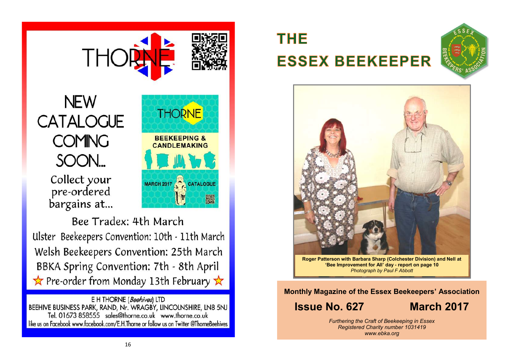

**THORNE** 

**BEEKEEPING & CANDLEMAKING** 

MARCH 2017 CATALOGUE

# **NEW CATALOGUE COMING** SOON...

Collect your pre-ordered bargains at...

Bee Tradex: 4th March Ulster Beekeepers Convention: 10th - 11th March Welsh Beekeepers Convention: 25th March BBKA Spring Convention: 7th - 8th April  $\star$  Pre-order from Monday 13th February  $\star$ 

E H THORNE (Beehives) LTD BEEHIVE BUSINESS PARK, RAND, Nr. WRAGBY, LINCOLNSHIRE, LN8 5NJ Tel. 01673 858555 sales@thorne.co.uk www.thorne.co.uk like us on Facebook www.facebook.com/E.H.Thorne or follow us on Twitter @ThorneBeehives

# **THE ESSEX BEEKEEPER**





**Roger Patterson with Barbara Sharp (Colchester Division) and Nell at 'Bee Improvement for All' day - report on page 10** *Photograph by Paul F Abbott*

## **Monthly Magazine of the Essex Beekeepers' Association**

# **Issue No. 627 March 2017**

*Furthering the Craft of Beekeeping in Essex Registered Charity number 1031419 www.ebka.org*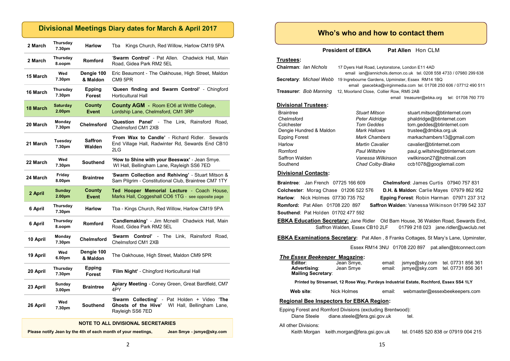## **Divisional Meetings Diary dates for March & April 2017**

| 2 March  | Thursday<br>7.30pm        | <b>Harlow</b>            | Tba<br>Kings Church, Red Willow, Harlow CM19 5PA                                                                     |  |  |
|----------|---------------------------|--------------------------|----------------------------------------------------------------------------------------------------------------------|--|--|
| 2 March  | Thursday<br>8.00pm        | <b>Romford</b>           | 'Swarm Control' - Pat Allen. Chadwick Hall, Main<br>Road, Gidea Park RM2 5EL                                         |  |  |
| 15 March | Wed<br>7.30pm             | Dengie 100<br>& Maldon   | Eric Beaumont - The Oakhouse, High Street, Maldon<br>CM9 5PR                                                         |  |  |
| 16 March | Thursday<br>7.30pm        | Epping<br>Forest         | 'Queen finding and Swarm Control' - Chingford<br><b>Horticultural Hall</b>                                           |  |  |
| 18 March | <b>Saturday</b><br>2.00pm | County<br><b>Event</b>   | <b>County AGM - Room EO6 at Writtle College.</b><br>Lordship Lane, Chelmsford, CM1 3RP                               |  |  |
| 20 March | Monday<br>7.30pm          | <b>Chelmsford</b>        | 'Question Panel' - The Link, Rainsford Road,<br>Chelmsford CM1 2XB                                                   |  |  |
| 21 March | Tuesday<br>7.30pm         | <b>Saffron</b><br>Walden | 'From Wax to Candle' - Richard Ridler. Sewards<br>End Village Hall, Radwinter Rd, Sewards End CB10<br>2LG            |  |  |
| 22 March | Wed<br>7.30pm             | <b>Southend</b>          | 'How to Shine with your Beeswax' Jean Smye.<br>WI Hall, Bellingham Lane, Rayleigh SS6 7ED                            |  |  |
| 24 March | Friday<br>8.00pm          | <b>Braintree</b>         | 'Swarm Collection and Rehiving' - Stuart Mitson &<br>Sam Pilgrim - Constitutional Club, Braintree CM7 1TY            |  |  |
| 2 April  | <b>Sunday</b><br>2.00pm   | County<br><b>Event</b>   | Ted Hooper Memorial Lecture - Coach House,<br>Marks Hall, Coggeshall CO6 1TG - see opposite page                     |  |  |
| 6 April  | Thursday<br>7.30pm        | <b>Harlow</b>            | Tba - Kings Church, Red Willow, Harlow CM19 5PA                                                                      |  |  |
| 6 April  | Thursday<br>8.00pm        | <b>Romford</b>           | 'Candlemaking' - Jim Mcneill Chadwick Hall, Main<br>Road, Gidea Park RM2 5EL                                         |  |  |
| 10 April | Monday<br>7.30pm          | Chelmsford               | 'Swarm Control' - The Link, Rainsford Road,<br>Chelmsford CM1 2XB                                                    |  |  |
| 19 April | Wed<br>6.00pm             | Dengie 100<br>& Maldon   | The Oakhouse, High Street, Maldon CM9 5PR                                                                            |  |  |
| 20 April | Thursday<br>7.30pm        | <b>Epping</b><br>Forest  | 'Film Night' - Chingford Horticultural Hall                                                                          |  |  |
| 23 April | Sunday<br>3.00pm          | <b>Braintree</b>         | <b>Apiary Meeting</b> - Coney Green, Great Bardfield, CM7<br>4PY                                                     |  |  |
| 26 April | Wed<br>7.30pm             | <b>Southend</b>          | 'Swarm Collecting' - Pat Holden + Video 'The<br>Ghosts of the Hive'<br>WI Hall, Bellingham Lane,<br>Rayleigh SS6 7ED |  |  |

#### **NOTE TO ALL DIVISIONAL SECRETARIES**

**Please notify Jean by the 4th of each month of your meetings, Jean Smye - jsmye@sky.com**

## **Who's who and how to contact them**

**President of EBKA** Pat Allen Hon CLM

#### **Trustees:**

| <b>Chairman: Ian Nichols</b>  | 17 Dyers Hall Road, Leytonstone, London E11 4AD                                  |  |  |  |  |  |
|-------------------------------|----------------------------------------------------------------------------------|--|--|--|--|--|
|                               | email ian@iannichols.demon.co.uk tel. 0208 558 4733 / 07980 299 638              |  |  |  |  |  |
|                               | <b>Secretary:</b> Michael Webb 19 Ingrebourne Gardens, Upminster, Essex RM14 1BQ |  |  |  |  |  |
|                               | email gsecebka@virginmedia.com tel. 01708 250 606 / 07712 490 511                |  |  |  |  |  |
| <b>Treasurer: Bob Manning</b> | 12, Moorland Close, Collier Row, RM5 2AB                                         |  |  |  |  |  |
|                               | tel: 01708 760 770<br>email treasurer@ebka.org                                   |  |  |  |  |  |
| <b>Divisional Trustees:</b>   |                                                                                  |  |  |  |  |  |
|                               |                                                                                  |  |  |  |  |  |

#### Braintree *Stuart Mitson* stuart.mitson@btinternet.com Chelmsford *Peter Aldridge* phaldridge@btinternet.com **Tom Geddes** tom.geddes@btinternet.com<br>
Mark Hallows trustee@dmbka.org.uk Dengie Hundred & Maldon **Mark Hallows** trustee@dmbka.org.uk Epping Forest *Mark Chambers* markachambers13@gmail.com Harlow *Martin Cavalier* cavalier@btinternet.com Romford *Paul Wiltshire* paul.g.wiltshire@btinternet.com Saffron Walden *Vanessa Wilkinson* vwilkinson27@hotmail.com Southend *Chad Colby*-*Blake* ccb1078@googlemail.com

#### **Divisional Contacts:**

**Southend**: Pat Holden 01702 477 592

**Braintree**: Jan French 07725 166 609 **Chelmsford**: James Curtis 07940 757 831 **Colchester**: Morag Chase 01206 522 576 **D.H. & Maldon**: Carlie Mayes 07979 862 952 **Harlow**: Nick Holmes 07730 735 752 **Epping Forest**: Robin Harman 07971 237 312 **Romford:** Pat Allen 01708 220 897 **Saffron Walden**: Vanessa Wilkinson 01799 542 337

**EBKA Education Secretary:** Jane Ridler Old Barn House, 36 Walden Road, Sewards End, Saffron Walden, Essex CB10 2LF 01799 218 023 jane.ridler@uwclub.net

**EBKA Examinations Secretary:** Pat Allen , 8 Franks Cottages, St Mary's Lane, Upminster,

Essex RM14 3NU 01708 220 897 pat.allen@btconnect.com

## *The Essex Beekeeper* **Magazine: Editor**: Jean Smye, email: jsmye@sky.com tel. 07731 856 361

| <b>Advertising:</b><br><b>Mailing Secretary:</b>                                                                   | Jean Smye   |        |  | email: jsmye@sky.com tel. 07731 856 361 |  |  |  |  |  |
|--------------------------------------------------------------------------------------------------------------------|-------------|--------|--|-----------------------------------------|--|--|--|--|--|
| Printed by Streamset, 12 Rose Way, Purdeys Industrial Estate, Rochford, Essex SS4 1LY                              |             |        |  |                                         |  |  |  |  |  |
| Web site:                                                                                                          | Nick Holmes | email: |  | webmaster@essexbeekeepers.com           |  |  |  |  |  |
| <b>Regional Bee Inspectors for EBKA Region:</b>                                                                    |             |        |  |                                         |  |  |  |  |  |
| Epping Forest and Romford Divisions (excluding Brentwood):<br>diane.steele@fera.gsi.gov.uk<br>Diane Steele<br>tel. |             |        |  |                                         |  |  |  |  |  |

All other Divisions:

Keith Morgan keith.morgan@fera.gsi.gov.uk tel. 01485 520 838 or 07919 004 215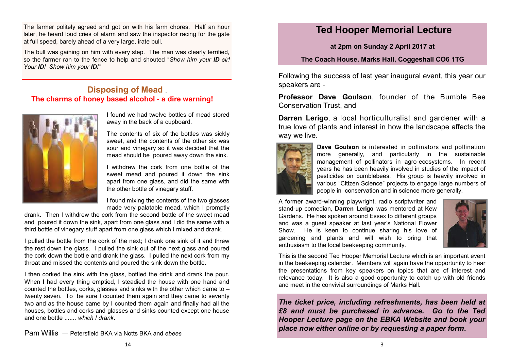The farmer politely agreed and got on with his farm chores. Half an hour later, he heard loud cries of alarm and saw the inspector racing for the gate at full speed, barely ahead of a very large, irate bull.

The bull was gaining on him with every step. The man was clearly terrified, so the farmer ran to the fence to help and shouted "*Show him your ID sir! Your ID! Show him your ID!"* 

## **Disposing of Mead** . **The charms of honey based alcohol - a dire warning!**



I found we had twelve bottles of mead stored away in the back of a cupboard.

The contents of six of the bottles was sickly sweet, and the contents of the other six was sour and vinegary so it was decided that the mead should be poured away down the sink.

I withdrew the cork from one bottle of the sweet mead and poured it down the sink apart from one glass, and did the same with the other bottle of vinegary stuff.

I found mixing the contents of the two glasses made very palatable mead, which I promptly

drank. Then I withdrew the cork from the second bottle of the sweet mead and poured it down the sink, apart from one glass and I did the same with a third bottle of vinegary stuff apart from one glass which I mixed and drank.

I pulled the bottle from the cork of the next; I drank one sink of it and threw the rest down the glass. I pulled the sink out of the next glass and poured the cork down the bottle and drank the glass. I pulled the next cork from my throat and missed the contents and poured the sink down the bottle.

I then corked the sink with the glass, bottled the drink and drank the pour. When I had every thing emptied, I steadied the house with one hand and counted the bottles, corks, glasses and sinks with the other which came to – twenty seven. To be sure I counted them again and they came to seventy two and as the house came by I counted them again and finally had all the houses, bottles and corks and glasses and sinks counted except one house and one bottle ....... *which I drank*.

Pam Willis — Petersfield BKA via Notts BKA and *ebees*

## **Ted Hooper Memorial Lecture**

**at 2pm on Sunday 2 April 2017 at**

**The Coach House, Marks Hall, Coggeshall CO6 1TG**

Following the success of last year inaugural event, this year our speakers are -

**Professor Dave Goulson**, founder of the Bumble Bee Conservation Trust, and

**Darren Lerigo**, a local horticulturalist and gardener with a true love of plants and interest in how the landscape affects the way we live.



**Dave Goulson** is interested in pollinators and pollination more generally, and particularly in the sustainable management of pollinators in agro-ecosystems. In recent years he has been heavily involved in studies of the impact of pesticides on bumblebees. His group is heavily involved in various "Citizen Science" projects to engage large numbers of people in conservation and in science more generally.

A former award-winning playwright, radio scriptwriter and stand-up comedian, **Darren Lerigo** was mentored at Kew Gardens. He has spoken around Essex to different groups and was a guest speaker at last year's National Flower Show. He is keen to continue sharing his love of gardening and plants and will wish to bring that enthusiasm to the local beekeeping community.



This is the second Ted Hooper Memorial Lecture which is an important event in the beekeeping calendar. Members will again have the opportunity to hear the presentations from key speakers on topics that are of interest and relevance today. It is also a good opportunity to catch up with old friends and meet in the convivial surroundings of Marks Hall.

*The ticket price, including refreshments, has been held at £8 and must be purchased in advance. Go to the Ted Hooper Lecture page on the EBKA Website and book your place now either online or by requesting a paper form***.**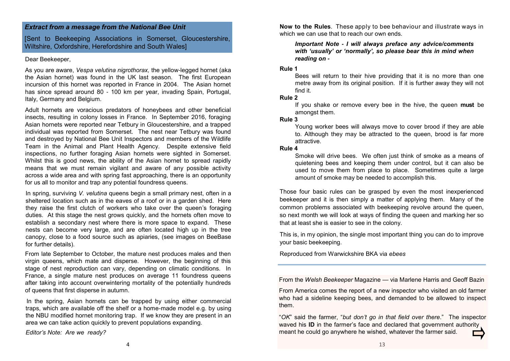## *Extract from a message from the National Bee Unit*

[Sent to Beekeeping Associations in Somerset, Gloucestershire, Wiltshire, Oxfordshire, Herefordshire and South Wales]

#### Dear Beekeeper,

As you are aware, *Vespa velutina nigrothorax,* the yellow-legged hornet (aka the Asian hornet) was found in the UK last season. The first European incursion of this hornet was reported in France in 2004. The Asian hornet has since spread around 80 - 100 km per year, invading Spain, Portugal, Italy, Germany and Belgium.

Adult hornets are voracious predators of honeybees and other beneficial insects, resulting in colony losses in France. In September 2016, foraging Asian hornets were reported near Tetbury in Gloucestershire, and a trapped individual was reported from Somerset. The nest near Tetbury was found and destroyed by National Bee Unit Inspectors and members of the Wildlife Team in the Animal and Plant Health Agency. Despite extensive field inspections, no further foraging Asian hornets were sighted in Somerset. Whilst this is good news, the ability of the Asian hornet to spread rapidly means that we must remain vigilant and aware of any possible activity across a wide area and with spring fast approaching, there is an opportunity for us all to monitor and trap any potential foundress queens.

In spring, surviving *V. velutina* queens begin a small primary nest, often in a sheltered location such as in the eaves of a roof or in a garden shed. Here they raise the first clutch of workers who take over the queen's foraging duties. At this stage the nest grows quickly, and the hornets often move to establish a secondary nest where there is more space to expand. These nests can become very large, and are often located high up in the tree canopy, close to a food source such as apiaries, (see images on BeeBase for further details).

From late September to October, the mature nest produces males and then virgin queens, which mate and disperse. However, the beginning of this stage of nest reproduction can vary, depending on climatic conditions. In France, a single mature nest produces on average 11 foundress queens after taking into account overwintering mortality of the potentially hundreds of queens that first disperse in autumn.

In the spring, Asian hornets can be trapped by using either commercial traps, which are available off the shelf or a home-made model e.g. by using the NBU modified hornet monitoring trap. If we know they are present in an area we can take action quickly to prevent populations expanding.

*Editor's Note: Are we ready?*

**Now to the Rules**. These apply to bee behaviour and illustrate ways in which we can use that to reach our own ends.

*Important Note* **-** *I will always preface any advice/comments with 'usually' or 'normally', so please bear this in mind when reading on* **-**

### **Rule 1**

Bees will return to their hive providing that it is no more than one metre away from its original position. If it is further away they will not find it.

### **Rule 2**

If you shake or remove every bee in the hive, the queen **must** be amongst them.

#### **Rule 3**

Young worker bees will always move to cover brood if they are able to. Although they may be attracted to the queen, brood is far more attractive.

#### **Rule 4**

Smoke will drive bees. We often just think of smoke as a means of quietening bees and keeping them under control, but it can also be used to move them from place to place. Sometimes quite a large amount of smoke may be needed to accomplish this.

Those four basic rules can be grasped by even the most inexperienced beekeeper and it is then simply a matter of applying them. Many of the common problems associated with beekeeping revolve around the queen, so next month we will look at ways of finding the queen and marking her so that at least she is easier to see in the colony.

This is, in my opinion, the single most important thing you can do to improve your basic beekeeping.

Reproduced from Warwickshire BKA via *ebees*

From the *Welsh Beekeeper* Magazine — via Marlene Harris and Geoff Bazin

From America comes the report of a new inspector who visited an old farmer who had a sideline keeping bees, and demanded to be allowed to inspect them.

"*OK*" said the farmer, "*but don't go in that field over there*." The inspector waved his **ID** in the farmer's face and declared that government authority meant he could go anywhere he wished, whatever the farmer said.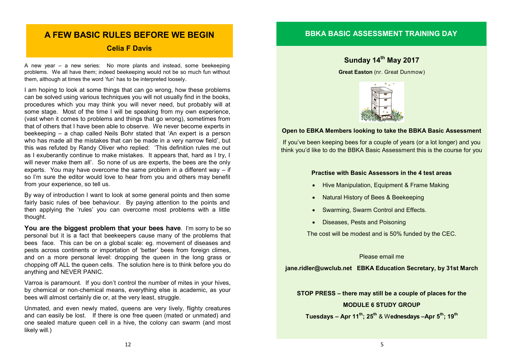## **A FEW BASIC RULES BEFORE WE BEGIN**

## **Celia F Davis**

A new year – a new series: No more plants and instead, some beekeeping problems. We all have them; indeed beekeeping would not be so much fun without them, although at times the word 'fun' has to be interpreted loosely.

I am hoping to look at some things that can go wrong, how these problems can be solved using various techniques you will not usually find in the books, procedures which you may think you will never need, but probably will at some stage. Most of the time I will be speaking from my own experience, (vast when it comes to problems and things that go wrong), sometimes from that of others that I have been able to observe. We never become experts in beekeeping – a chap called Neils Bohr stated that 'An expert is a person who has made all the mistakes that can be made in a very narrow field', but this was refuted by Randy Oliver who replied: 'This definition rules me out as I exuberantly continue to make mistakes. It appears that, hard as I try, I will never make them all'. So none of us are experts, the bees are the only experts. You may have overcome the same problem in a different way – if so I'm sure the editor would love to hear from you and others may benefit from your experience, so tell us.

By way of introduction I want to look at some general points and then some fairly basic rules of bee behaviour. By paying attention to the points and then applying the 'rules' you can overcome most problems with a little thought.

**You are the biggest problem that your bees have**. I'm sorry to be so personal but it is a fact that beekeepers cause many of the problems that bees face. This can be on a global scale: eg. movement of diseases and pests across continents or importation of 'better' bees from foreign climes, and on a more personal level: dropping the queen in the long grass or chopping off ALL the queen cells. The solution here is to think before you do anything and NEVER PANIC.

Varroa is paramount. If you don't control the number of mites in your hives, by chemical or non-chemical means, everything else is academic, as your bees will almost certainly die or, at the very least, struggle.

Unmated, and even newly mated, queens are very lively, flighty creatures and can easily be lost. If there is one free queen (mated or unmated) and one sealed mature queen cell in a hive, the colony can swarm (and most likely will.)

## **BBKA BASIC ASSESSMENT TRAINING DAY**

## **Sunday 14th May 2017**

**Great Easton** (nr. Great Dunmow)



#### **Open to EBKA Members looking to take the BBKA Basic Assessment**

If you've been keeping bees for a couple of years (or a lot longer) and you think you'd like to do the BBKA Basic Assessment this is the course for you

#### **Practise with Basic Assessors in the 4 test areas**

- Hive Manipulation, Equipment & Frame Making
- Natural History of Bees & Beekeeping
- Swarming, Swarm Control and Effects.
- Diseases, Pests and Poisoning

The cost will be modest and is 50% funded by the CEC.

#### Please email me

**[jane.ridler@uwclub.net](mailto:jane.ridler@uwclub.net) EBKA Education Secretary, by 31st March**

**STOP PRESS – there may still be a couple of places for the MODULE 6 STUDY GROUP**

**Tuesdays – Apr 11th; 25th** & W**ednesdays –Apr 5th; 19th**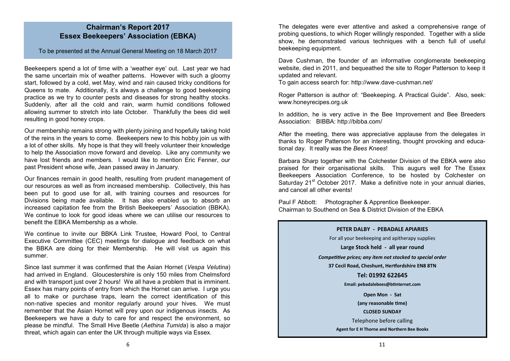## **Chairman's Report 2017 Essex Beekeepers' Association (EBKA)**

## To be presented at the Annual General Meeting on 18 March 2017

Beekeepers spend a lot of time with a 'weather eye' out. Last year we had the same uncertain mix of weather patterns. However with such a gloomy start, followed by a cold, wet May, wind and rain caused tricky conditions for Queens to mate. Additionally, it's always a challenge to good beekeeping practice as we try to counter pests and diseases for strong healthy stocks. Suddenly, after all the cold and rain, warm humid conditions followed allowing summer to stretch into late October. Thankfully the bees did well resulting in good honey crops.

Our membership remains strong with plenty joining and hopefully taking hold of the reins in the years to come. Beekeepers new to this hobby join us with a lot of other skills. My hope is that they will freely volunteer their knowledge to help the Association move forward and develop. Like any community we have lost friends and members. I would like to mention Eric Fenner, our past President whose wife, Jean passed away in January.

Our finances remain in good health, resulting from prudent management of our resources as well as from increased membership. Collectively, this has been put to good use for all, with training courses and resources for Divisions being made available. It has also enabled us to absorb an increased capitation fee from the British Beekeepers' Association (BBKA). We continue to look for good ideas where we can utilise our resources to benefit the EBKA Membership as a whole.

We continue to invite our BBKA Link Trustee, Howard Pool, to Central Executive Committee (CEC) meetings for dialogue and feedback on what the BBKA are doing for their Membership. He will visit us again this summer.

Since last summer it was confirmed that the Asian Hornet (*Vespa Velutina*) had arrived in England. Gloucestershire is only 150 miles from Chelmsford and with transport just over 2 hours! We all have a problem that is imminent. Essex has many points of entry from which the Hornet can arrive. I urge you all to make or purchase traps, learn the correct identification of this non-native species and monitor regularly around your hives. We must remember that the Asian Hornet will prey upon our indigenous insects. As Beekeepers we have a duty to care for and respect the environment, so please be mindful. The Small Hive Beetle (*Aethina Tumida*) is also a major threat, which again can enter the UK through multiple ways via Essex.

The delegates were ever attentive and asked a comprehensive range of probing questions, to which Roger willingly responded. Together with a slide show, he demonstrated various techniques with a bench full of useful beekeeping equipment.

Dave Cushman, the founder of an informative conglomerate beekeeping website, died in 2011, and bequeathed the site to Roger Patterson to keep it updated and relevant.

To gain access search for: [http://www.dave](http://www.dave-cushman.net/)-cushman.net/

Roger Patterson is author of: "Beekeeping. A Practical Guide". Also, seek: [www.honeyrecipes.org.uk](http://www.honeyrecipes.org.uk)

In addition, he is very active in the Bee Improvement and Bee Breeders Association: BIBBA:<http://bibba.com/>

After the meeting, there was appreciative applause from the delegates in thanks to Roger Patterson for an interesting, thought provoking and educational day. It really was the *Bees Knees*!

Barbara Sharp together with the Colchester Division of the EBKA were also praised for their organisational skills. This augurs well for The Essex Beekeepers Association Conference, to be hosted by Colchester on Saturday 21<sup>st</sup> October 2017. Make a definitive note in your annual diaries, and cancel all other events!

Paul F Abbott: Photographer & Apprentice Beekeeper. Chairman to Southend on Sea & District Division of the EBKA

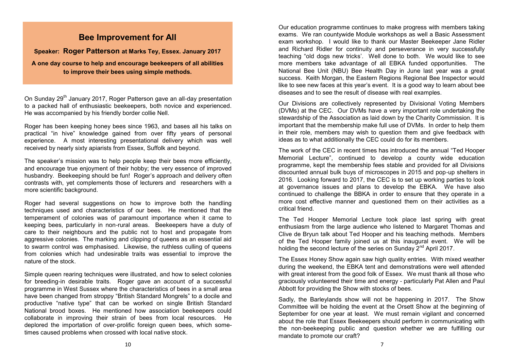## **Bee Improvement for All**

**Speaker: Roger Patterson at Marks Tey, Essex. January 2017**

**A one day course to help and encourage beekeepers of all abilities to improve their bees using simple methods.** 

On Sunday 29th January 2017, Roger Patterson gave an all-day presentation to a packed hall of enthusiastic beekeepers, both novice and experienced. He was accompanied by his friendly border collie Nell.

Roger has been keeping honey bees since 1963, and bases all his talks on practical "in hive" knowledge gained from over fifty years of personal experience. A most interesting presentational delivery which was well received by nearly sixty apiarists from Essex, Suffolk and beyond.

The speaker's mission was to help people keep their bees more efficiently, and encourage true enjoyment of their hobby; the very essence of improved husbandry. Beekeeping should be fun! Roger's approach and delivery often contrasts with, yet complements those of lecturers and researchers with a more scientific background.

Roger had several suggestions on how to improve both the handling techniques used and characteristics of our bees. He mentioned that the temperament of colonies was of paramount importance when it came to keeping bees, particularly in non-rural areas. Beekeepers have a duty of care to their neighbours and the public not to host and propagate from aggressive colonies. The marking and clipping of queens as an essential aid to swarm control was emphasised. Likewise, the ruthless culling of queens from colonies which had undesirable traits was essential to improve the nature of the stock.

Simple queen rearing techniques were illustrated, and how to select colonies for breeding-in desirable traits. Roger gave an account of a successful programme in West Sussex where the characteristics of bees in a small area have been changed from stroppy "British Standard Mongrels" to a docile and productive "native type" that can be worked on single British Standard National brood boxes. He mentioned how association beekeepers could collaborate in improving their strain of bees from local resources. He deplored the importation of over-prolific foreign queen bees, which sometimes caused problems when crossed with local native stock.

Our education programme continues to make progress with members taking exams. We ran countywide Module workshops as well a Basic Assessment exam workshop. I would like to thank our Master Beekeeper Jane Ridler and Richard Ridler for continuity and perseverance in very successfully teaching "old dogs new tricks'. Well done to both. We would like to see more members take advantage of all EBKA funded opportunities. The National Bee Unit (NBU) Bee Health Day in June last year was a great success. Keith Morgan, the Eastern Regions Regional Bee Inspector would like to see new faces at this year's event. It is a good way to learn about bee diseases and to see the result of disease with real examples.

Our Divisions are collectively represented by Divisional Voting Members (DVMs) at the CEC. Our DVMs have a very important role undertaking the stewardship of the Association as laid down by the Charity Commission. It is important that the membership make full use of DVMs. In order to help them in their role, members may wish to question them and give feedback with ideas as to what additionally the CEC could do for its members.

The work of the CEC in recent times has introduced the annual "Ted Hooper Memorial Lecture", continued to develop a county wide education programme, kept the membership fees stable and provided for all Divisions discounted annual bulk buys of microscopes in 2015 and pop-up shelters in 2016. Looking forward to 2017, the CEC is to set up working parties to look at governance issues and plans to develop the EBKA. We have also continued to challenge the BBKA in order to ensure that they operate in a more cost effective manner and questioned them on their activities as a critical friend.

The Ted Hooper Memorial Lecture took place last spring with great enthusiasm from the large audience who listened to Margaret Thomas and Clive de Bryun talk about Ted Hooper and his teaching methods. Members of the Ted Hooper family joined us at this inaugural event. We will be holding the second lecture of the series on Sunday 2<sup>nd</sup> April 2017.

The Essex Honey Show again saw high quality entries. With mixed weather during the weekend, the EBKA tent and demonstrations were well attended with great interest from the good folk of Essex. We must thank all those who graciously volunteered their time and energy - particularly Pat Allen and Paul Abbott for providing the Show with stocks of bees.

Sadly, the Barleylands show will not be happening in 2017. The Show Committee will be holding the event at the Orsett Show at the beginning of September for one year at least. We must remain vigilant and concerned about the role that Essex Beekeepers should perform in communicating with the non-beekeeping public and question whether we are fulfilling our mandate to promote our craft?